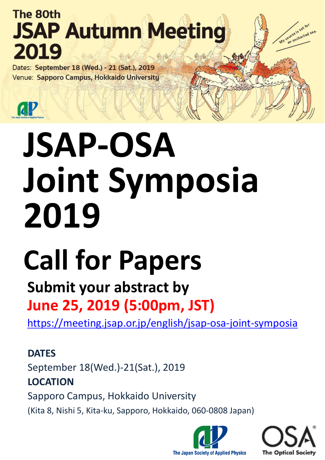# **The 80th JSAP Autumn Meeting** 2019

Dates: September 18 (Wed.) - 21 (Sat.), 2019 Venue: Sapporo Campus, Hokkaido University

 $\mathbf{a}$ 

# **JSAP-OSA Joint Symposia 2019**

# **Call for Papers**

## **Submit your abstract by June 25, 2019 (5:00pm, JST)**

<https://meeting.jsap.or.jp/english/jsap-osa-joint-symposia>

**DATES** September 18(Wed.)-21(Sat.), 2019 **LOCATION** Sapporo Campus, Hokkaido University (Kita 8, Nishi 5, Kita-ku, Sapporo, Hokkaido, 060-0808 Japan)





My course is set for

purse is set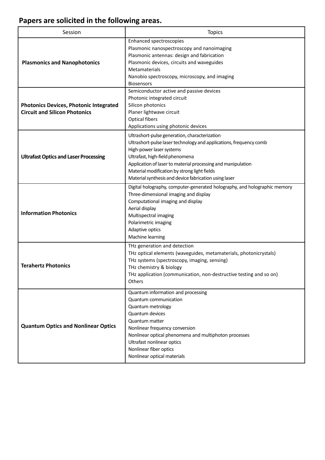### **Papers are solicited in the following areas.**

| Session                                                                               | <b>Topics</b>                                                                                                                                                                                                                                                                                                                                               |  |
|---------------------------------------------------------------------------------------|-------------------------------------------------------------------------------------------------------------------------------------------------------------------------------------------------------------------------------------------------------------------------------------------------------------------------------------------------------------|--|
| <b>Plasmonics and Nanophotonics</b>                                                   | <b>Enhanced spectroscopies</b><br>Plasmonic nanospectroscopy and nanoimaging<br>Plasmonic antennas: design and fabrication<br>Plasmonic devices, circuits and waveguides<br>Metamaterials<br>Nanobio spectroscopy, microscopy, and imaging<br><b>Biosensors</b>                                                                                             |  |
| <b>Photonics Devices, Photonic Integrated</b><br><b>Circuit and Silicon Photonics</b> | Semiconductor active and passive devices<br>Photonic integrated circuit<br>Silicon photonics<br>Planer lightwave circuit<br><b>Optical fibers</b><br>Applications using photonic devices                                                                                                                                                                    |  |
| <b>Ultrafast Optics and Laser Processing</b>                                          | Ultrashort-pulse generation, characterization<br>Ultrashort-pulse laser technology and applications, frequency comb<br>High-power laser systems<br>Ultrafast, high-field phenomena<br>Application of laser to material processing and manipulation<br>Material modification by strong light fields<br>Material synthesis and device fabrication using laser |  |
| <b>Information Photonics</b>                                                          | Digital holography, computer-generated holography, and holographic memory<br>Three-dimensional imaging and display<br>Computational imaging and display<br>Aerial display<br>Multispectral imaging<br>Polarimetric imaging<br>Adaptive optics<br>Machine learning                                                                                           |  |
| <b>Terahertz Photonics</b>                                                            | THz generation and detection<br>THz optical elements (waveguides, metamaterials, photonicrystals)<br>THz systems (spectroscopy, imaging, sensing)<br>THz chemistry & biology<br>THz application (communication, non-destructive testing and so on)<br>Others                                                                                                |  |
| <b>Quantum Optics and Nonlinear Optics</b>                                            | Quantum information and processing<br>Quantum communication<br>Quantum metrology<br>Quantum devices<br>Quantum matter<br>Nonlinear frequency conversion<br>Nonlinear optical phenomena and multiphoton processes<br>Ultrafast nonlinear optics<br>Nonlinear fiber optics<br>Nonlinear optical materials                                                     |  |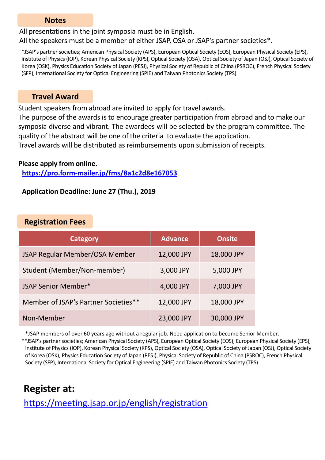#### **Notes**

All presentations in the joint symposia must be in English.

All the speakers must be a member of either JSAP, OSA or JSAP's partner societies\*.

\*JSAP's partner societies; American Physical Society (APS), European Optical Society (EOS), European Physical Society (EPS), Institute of Physics (IOP), Korean Physical Society (KPS), Optical Society (OSA), Optical Society of Japan (OSJ), Optical Society of Korea (OSK), Physics Education Society of Japan (PESJ), Physical Society of Republic of China (PSROC), French Physical Society (SFP), International Society for Optical Engineering (SPIE) and Taiwan Photonics Society (TPS)

#### **Travel Award**

Student speakers from abroad are invited to apply for travel awards.

The purpose of the awards is to encourage greater participation from abroad and to make our symposia diverse and vibrant. The awardees will be selected by the program committee. The quality of the abstract will be one of the criteria to evaluate the application.

Travel awards will be distributed as reimbursements upon submission of receipts.

#### **Please apply from online.**

**<https://pro.form-mailer.jp/fms/8a1c2d8e167053>**

#### **Application Deadline: June 27 (Thu.), 2019**

#### **Registration Fees**

| <b>Category</b>                      | <b>Advance</b> | <b>Onsite</b> |
|--------------------------------------|----------------|---------------|
| JSAP Regular Member/OSA Member       | 12,000 JPY     | 18,000 JPY    |
| Student (Member/Non-member)          | 3,000 JPY      | 5,000 JPY     |
| JSAP Senior Member*                  | 4,000 JPY      | 7,000 JPY     |
| Member of JSAP's Partner Societies** | 12,000 JPY     | 18,000 JPY    |
| Non-Member                           | 23,000 JPY     | 30,000 JPY    |

\*JSAP members of over 60 years age without a regular job. Need application to become Senior Member. \*\*JSAP's partner societies; American Physical Society (APS), European Optical Society (EOS), European Physical Society (EPS), Institute of Physics (IOP), Korean Physical Society (KPS), Optical Society (OSA), Optical Society of Japan (OSJ), Optical Society of Korea (OSK), Physics Education Society of Japan (PESJ), Physical Society of Republic of China (PSROC), French Physical Society (SFP), International Society for Optical Engineering (SPIE) and Taiwan Photonics Society (TPS)

## **Register at:**

<https://meeting.jsap.or.jp/english/registration>